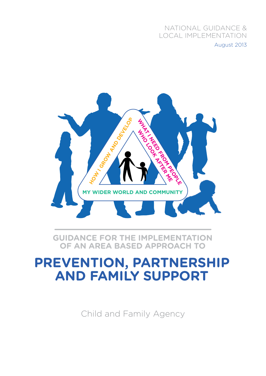### NATIONAL GUIDANCE & LOCAL IMPLEMENTATION August 2013



**Guidance for the implementation of an Area Based Approach to** 

### **Prevention, Partnership and Family Support**

Child and Family Agency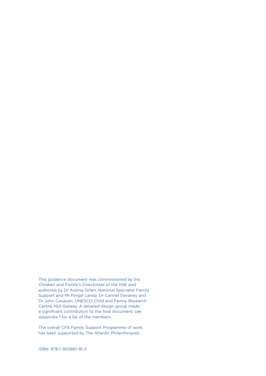This guidance document was commissioned by the Children and Family's Directorate of the HSE and authored by Dr Aisling Gillen, National Specialist Family Support and Mr Fergal Landy, Dr Carmel Devaney and Dr John Canavan, UNESCO Child and Family Research Centre, NUI Galway. A detailed design group made a significant contribution to the final document, see Appendix 1 for a list of the members.

The overall CFA Family Support Programme of work has been supported by The Atlantic Philanthropies.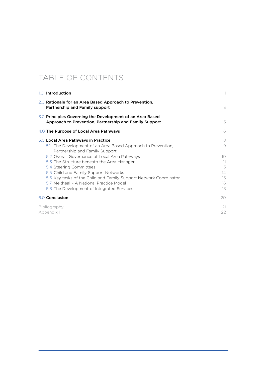### Table of Contents

| 1.0 Introduction                                                                                                                                                                                                                                                                                                                                                                                                                                                        |                                                               |  |
|-------------------------------------------------------------------------------------------------------------------------------------------------------------------------------------------------------------------------------------------------------------------------------------------------------------------------------------------------------------------------------------------------------------------------------------------------------------------------|---------------------------------------------------------------|--|
| 2.0 Rationale for an Area Based Approach to Prevention,<br>Partnership and Family support                                                                                                                                                                                                                                                                                                                                                                               | 3                                                             |  |
| 3.0 Principles Governing the Development of an Area Based<br>Approach to Prevention, Partnership and Family Support                                                                                                                                                                                                                                                                                                                                                     | 5                                                             |  |
| 4.0 The Purpose of Local Area Pathways                                                                                                                                                                                                                                                                                                                                                                                                                                  | 6                                                             |  |
| 5.0 Local Area Pathways in Practice<br>5.1 The Development of an Area Based Approach to Prevention,<br>Partnership and Family Support<br>5.2 Overall Governance of Local Area Pathways<br>5.3 The Structure beneath the Area Manager<br>5.4 Steering Committees<br>5.5 Child and Family Support Networks<br>5.6 Key tasks of the Child and Family Support Network Coordinator<br>5.7 Meitheal - A National Practice Model<br>5.8 The Development of Integrated Services | 8<br>9<br>10 <sup>°</sup><br>11<br>13<br>14<br>15<br>16<br>18 |  |
| 6.0 Conclusion                                                                                                                                                                                                                                                                                                                                                                                                                                                          | 20                                                            |  |
| Bibliography<br>Appendix 1                                                                                                                                                                                                                                                                                                                                                                                                                                              | 21<br>22                                                      |  |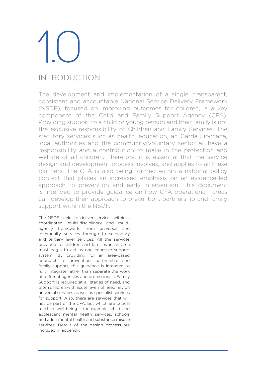### Introduction

The development and implementation of a single, transparent, consistent and accountable National Service Delivery Framework (NSDF), focused on improving outcomes for children, is a key component of the Child and Family Support Agency (CFA). Providing support to a child or young person and their family is not the exclusive responsibility of Children and Family Services. The statutory services such as health, education, an Garda Siochana, local authorities and the community/voluntary sector all have a responsibility and a contribution to make in the protection and welfare of all children. Therefore, it is essential that the service design and development process involves, and applies to all these partners. The CFA is also being formed within a national policy context that places an increased emphasis on an evidence-led approach to prevention and early intervention. This document is intended to provide guidance on how CFA operational areas can develop their approach to prevention, partnership and family support within the NSDF.

The NSDF seeks to deliver services within a coordinated, multi-disciplinary and multiagency framework, from universal and community services through to secondary and tertiary level services. All the services provided to children and families in an area must begin to act as one cohesive support system. By providing for an area-based approach to prevention, partnership and family support, this guidance is intended to fully integrate rather than separate the work of different agencies and professionals. Family Support is required at all stages of need, and often children with acute levels of need rely on universal services as well as specialist services for support. Also, there are services that will not be part of the CFA, but which are critical to child well-being - for example, child and adolescent mental health services, schools and adult mental health and substance misuse services. Details of the design process are included in appendix 1.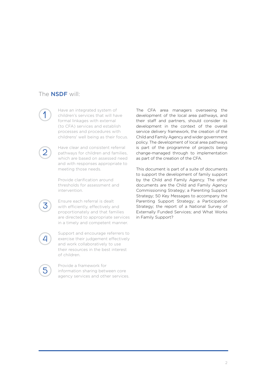### The **NSDF** will:

1

2

3

4

Have an integrated system of children's services that will have formal linkages with external (to CFA) services and establish processes and procedures with childrens' well being as their focus.

Have clear and consistent referral pathways for children and families, which are based on assessed need and with responses appropriate to meeting those needs.

Provide clarification around thresholds for assessment and intervention.

Ensure each referral is dealt with efficiently, effectively and proportionately and that families are directed to appropriate services in a timely and competent manner.

Support and encourage referrers to exercise their judgement effectively and work collaboratively to use their resources in the best interest of children.

5

Provide a framework for information sharing between core agency services and other services.

The CFA area managers overseeing the development of the local area pathways, and their staff and partners, should consider its development in the context of the overall service delivery framework, the creation of the Child and Family Agency and wider government policy. The development of local area pathways is part of the programme of projects being change-managed through to implementation as part of the creation of the CFA.

This document is part of a suite of documents to support the development of family support by the Child and Family Agency. The other documents are the Child and Family Agency Commissioning Strategy; a Parenting Support Strategy; 50 Key Messages to accompany the Parenting Support Strategy; a Participation Strategy; the report of a National Survey of Externally Funded Services; and What Works in Family Support?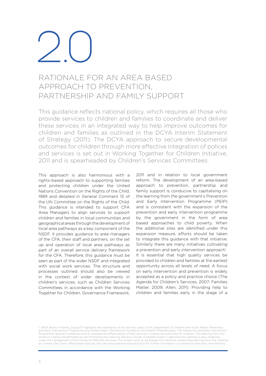### Rationale for an Area Based Approach to Prevention, Partnership and Family Support

This guidance reflects national policy, which requires all those who provide services to children and families to coordinate and deliver these services in an integrated way to help improve outcomes for children and families as outlined in the DCYA Interim Statement of Strategy (2011). The DCYA approach to secure developmental outcomes for children through more effective integration of polices and services is set out in Working Together for Children Initiative, 2011 and is spearheaded by Children's Services Committees.

This approach is also harmonious with a rights-based approach to supporting families and protecting children under the United Nations Convention on the Rights of the Child, 1989 and detailed in General Comment 13 of the UN Committee on the Rights of the Child. This guidance is intended to support CFA Area Managers to align services to support children and families in local communities and geographical areas throughthedevelopmentof local area pathways as a key component of the NSDF. It provides guidance to area managers of the CFA, their staff and partners, on the set up and operation of local area pathways as part of an overall service delivery framework for the CFA. Therefore, this guidance must be seen as part of the wider NSDF and integrated with social work services. The structure and processes outlined should also be viewed in the context of wider developments in children's services, such as Children Services Committees in accordance with the Working Together for Children, Governance Framework,

2011 and in relation to local government reform. The development of an area-based approach to prevention, partnership and family support is conducive to capitalising on the learning from the government's Prevention and Early Intervention Programme (PEIP) and is consistent with the expansion of the prevention and early intervention programme by the government in the form of area based approaches to child poverty. When the additional sites are identified under this expansion measure, efforts should be taken to integrate this guidance with that initiative. Similarly there are many initiatives cultivating a prevention and early intervention approach<sup>1</sup>. It is essential that high quality services be provided to children and families at the earliest opportunity across all levels of need. A focus on early intervention and prevention is widely accepted as a policy and practice choice (The Agenda for Children's Services, 2007; Families Matter, 2009; Allen, 2011). Providing help to children and families early in the stage of a

1. What Works in Family Support? highlights the experience of the last few years of the Department of Children and Youth Affairs Prevention<br>and Early Intervention Programme and related major interventions funded by the Atl Programme requires funded services to evaluate the effectiveness of their services in improving outcomes for children. This learning from this initiative is being disseminated by the Promoting the Learning Advisory Group. A parallel project; Capturing the Learning is also underway<br>under the management of the Centre for Effective Services. This project aims to syn as a whole (See www. effectiveservices.org, also see www.preventioninpractice.ie for further information on prevention and early intervention).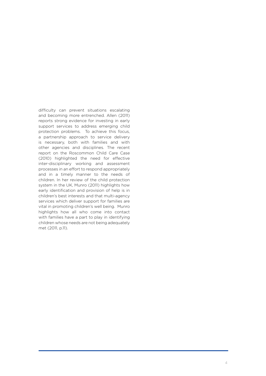difficulty can prevent situations escalating and becoming more entrenched. Allen (2011) reports strong evidence for investing in early support services to address emerging child protection problems. To achieve this focus, a partnership approach to service delivery is necessary, both with families and with other agencies and disciplines. The recent report on the Roscommon Child Care Case (2010) highlighted the need for effective inter-disciplinary working and assessment processes in an effort to respond appropriately and in a timely manner to the needs of children. In her review of the child protection system in the UK, Munro (2011) highlights how early identification and provision of help is in children's best interests and that multi-agency services which deliver support for families are vital in promoting children's well being. Munro highlights how all who come into contact with families have a part to play in identifying children whose needs are not being adequately met (2011, p.11).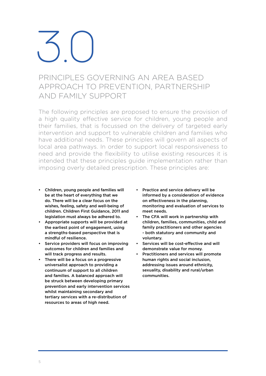### Principles Governing an Area Based Approach to Prevention, Partnership and Family Support

The following principles are proposed to ensure the provision of a high quality effective service for children, young people and their families, that is focussed on the delivery of targeted early intervention and support to vulnerable children and families who have additional needs. These principles will govern all aspects of local area pathways. In order to support local responsiveness to need and provide the flexibility to utilise existing resources it is intended that these principles guide implementation rather than imposing overly detailed prescription. These principles are:

- Children, young people and families will be at the heart of everything that we do. There will be a clear focus on the wishes, feeling, safety and well-being of children. Children First Guidance, 2011 and legislation must always be adhered to.
- Appropriate supports will be provided at the earliest point of engagement, using a strengths-based perspective that is mindful of resilience.
- Service providers will focus on improving outcomes for children and families and will track progress and results.
- There will be a focus on a progressive universalist approach to providing a continuum of support to all children and families. A balanced approach will be struck between developing primary prevention and early intervention services whilst maintaining secondary and tertiary services with a re-distribution of resources to areas of high need.
- Practice and service delivery will be informed by a consideration of evidence on effectiveness in the planning, monitoring and evaluation of services to meet needs.
- The CFA will work in partnership with children, families, communities, child and family practitioners and other agencies - both statutory and community and voluntary.
- Services will be cost-effective and will demonstrate value for money.
- Practitioners and services will promote human rights and social inclusion, addressing issues around ethnicity, sexuality, disability and rural/urban communities.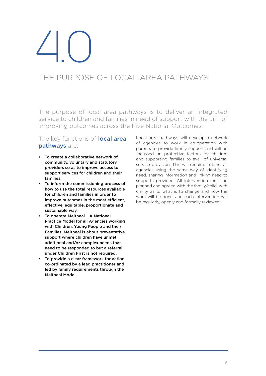### The Purpose of Local Area Pathways

The purpose of local area pathways is to deliver an integrated service to children and families in need of support with the aim of improving outcomes across the Five National Outcomes.

### The key functions of **local area** pathways are:

- To create a collaborative network of community, voluntary and statutory providers so as to improve access to support services for children and their families.
- To inform the commissioning process of how to use the total resources available for children and families in order to improve outcomes in the most efficient, effective, equitable, proportionate and sustainable way.
- To operate Meitheal A National Practice Model for all Agencies working with Children, Young People and their Families. Meitheal is about preventative support where children have unmet additional and/or complex needs that need to be responded to but a referral under Children First is not required.
- To provide a clear framework for action co-ordinated by a lead practitioner and led by family requirements through the Meitheal Model.

Local area pathways will develop a network of agencies to work in co-operation with parents to provide timely support and will be focussed on protective factors for children and supporting families to avail of universal service provision. This will require, in time, all agencies using the same way of identifying need, sharing information and linking need to supports provided. All intervention must be planned and agreed with the family/child, with clarity as to what is to change and how the work will be done, and each intervention will be regularly, openly and formally reviewed.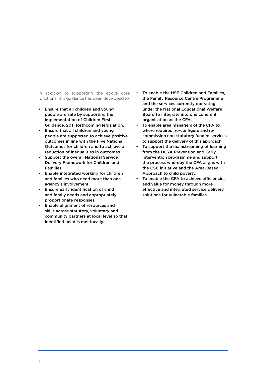In addition to supporting the above core functions, this guidance has been developed to:

- Ensure that all children and young people are safe by supporting the implementation of Children First Guidance, 2011 forthcoming legislation.
- Ensure that all children and young people are supported to achieve positive outcomes in line with the Five National Outcomes for children and to achieve a reduction of inequalities in outcomes.
- Support the overall National Service Delivery Framework for Children and Families.
- Enable integrated working for children and families who need more than one agency's involvement.
- Ensure early identification of child and family needs and appropriately proportionate responses.
- Enable alignment of resources and skills across statutory, voluntary and community partners at local level so that identified need is met locally.
- To enable the HSE Children and Families, the Family Resource Centre Programme and the services currently operating under the National Educational Welfare Board to integrate into one coherent organisation as the CFA.
- To enable area managers of the CFA to, where required, re-configure and recommission non-statutory funded services to support the delivery of this approach.
- To support the mainstreaming of learning from the DCYA Prevention and Early Intervention programme and support the process whereby the CFA aligns with the CSC initiative and the Area-Based Approach to child poverty.
- To enable the CFA to achieve efficiencies and value for money through more effective and integrated service delivery solutions for vulnerable families.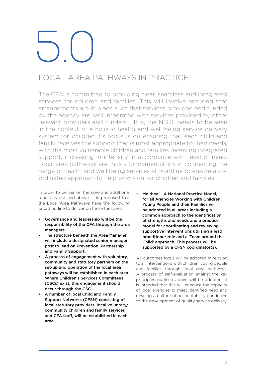### Local Area Pathways in Practice

The CFA is committed to providing clear, seamless and integrated services for children and families. This will involve ensuring that arrangements are in place such that services provided and funded by the agency are well integrated with services provided by other relevant providers and funders. Thus, the NSDF needs to be seen in the context of a holistic health and well being service delivery system for children. Its focus is on ensuring that each child and family receives the support that is most appropriate to their needs, with the most vulnerable children and families receiving integrated support, increasing in intensity in accordance with level of need. Local area pathways are thus a fundamental link in connecting the range of health and well being services at frontline to ensure a coordinated approach to help provision for children and families.

In order to deliver on the core and additional functions outlined above, it is proposed that the Local Area Pathways have the following broad outline to deliver on these functions:

- Governance and leadership will be the responsibility of the CFA through the area managers.
- The structure beneath the Area Manager will include a designated senior manager post to lead on Prevention, Partnership and Family Support.
- A process of engagement with voluntary, community and statutory partners on the set-up and operation of the local area pathways will be established in each area. Where Children's Services Committees (CSCs) exist, this engagement should occur through the CSC.
- A number of local Child and Family Support Networks (CFSN) consisting of local statutory providers, local voluntary/ community children and family services and CFA staff, will be established in each area.

• Meitheal - A National Practice Model, for all Agencies Working with Children, Young People and their Families will be adopted in all areas including a common approach to the identification of strengths and needs and a practice model for coordinating and reviewing supportive interventions utilising a lead practitioner role and a 'Team around the Child' approach. This process will be supported by a CFSN coordinator(s).

An outcomes focus will be adopted in relation to all interventions with children, young people and families through local area pathways. A process of self-evaluation against the key principles outlined above will be adopted. It is intended that this will enhance the capacity of local agencies to meet identified need and develop a culture of accountability conducive to the development of quality service delivery.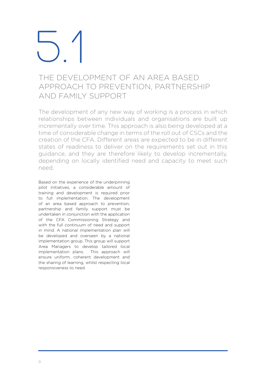### The Development of an Area Based Approach to Prevention, Partnership and Family Support

The development of any new way of working is a process in which relationships between individuals and organisations are built up incrementally over time. This approach is also being developed at a time of considerable change in terms of the roll out of CSCs and the creation of the CFA. Different areas are expected to be in different states of readiness to deliver on the requirements set out in this guidance, and they are therefore likely to develop incrementally, depending on locally identified need and capacity to meet such need.

Based on the experience of the underpinning pilot initiatives, a considerable amount of training and development is required prior to full implementation. The development of an area based approach to prevention, partnership and family support must be undertaken in conjunction with the application of the CFA Commissioning Strategy and with the full continuum of need and support in mind. A national implementation plan will be developed and overseen by a national implementation group. This group will support Area Managers to develop tailored local implementation plans. This approach will ensure uniform, coherent development and the sharing of learning, whilst respecting local responsiveness to need.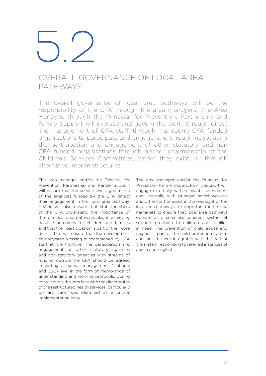### Overall Governance of Local Area **PATHWAYS**

The overall governance of local area pathways will be the responsibility of the CFA through the area managers. The Area Manager, through the Principal for Prevention, Partnership and Family Support will oversee and govern the work, through direct line management of CFA staff, through mandating CFA funded organisations to participate and engage, and through negotiating the participation and engagement of other statutory and non CFA funded organisations through his/her chairmanship of the Children's Services Committees, where they exist, or through alternative interim structures.

The area manager and/or the Principal for Prevention, Partnership and Family Support will ensure that the service level agreements of the agencies funded by the CFA reflect their engagement in the local area pathway. He/she will also ensure that staff members of the CFA understand the importance of the role local area pathways play in achieving positive outcomes for children and families and that their participation is part of their core duties. This will ensure that the development of integrated working is championed by CFA staff at the frontline. The participation and engagement of other statutory agencies and non-statutory agencies with streams of funding outside the CFA should be agreed in writing at senior management (National and CSC) level in the form of memoranda of understanding and working protocols. During consultation, the interface with the directorates of the restructured health services, particularly primary care, was identified as a critical implementation issue.

The area manager and/or the Principal for Prevention, Partnership and Family Support, will engage externally with relevant stakeholders and internally with principal social workers and other staff to assist in the oversight of the local area pathways. It is important for the area managers to ensure that local area pathways operate as a seamless coherent system of support provision to children and families in need. The prevention of child abuse and neglect is part of the child protection system and must be well integrated with the part of the system responding to referred instances of abuse and neglect.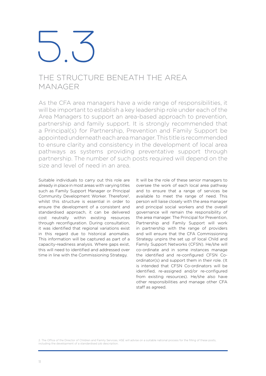### The Structure Beneath the Area **MANAGER**

As the CFA area managers have a wide range of responsibilities, it will be important to establish a key leadership role under each of the Area Managers to support an area-based approach to prevention, partnership and family support. It is strongly recommended that a Principal(s) for Partnership, Prevention and Family Support be appointedunderneatheachareamanager.This titleis recommended to ensure clarity and consistency in the development of local area pathways as systems providing preventative support through partnership. The number of such posts required will depend on the size and level of need in an area.

Suitable individuals to carry out this role are already in place in most areas with varying titles such as Family Support Manager or Principal Community Development Worker. Therefore2, whilst this structure is essential in order to ensure the development of a consistent and standardised approach, it can be delivered cost neutrally within existing resources through reconfiguration. During consultation, it was identified that regional variations exist in this regard due to historical anomalies. This information will be captured as part of a capacity-readiness analysis. Where gaps exist, this will need to identified and addressed over time in line with the Commissioning Strategy.

It will be the role of these senior managers to oversee the work of each local area pathway and to ensure that a range of services be available to meet the range of need. This person will liaise closely with the area manager and principal social workers and the overall governance will remain the responsibility of the area manager. The Principal for Prevention, Partnership and Family Support will work in partnership with the range of providers and will ensure that the CFA Commissioning Strategy unpins the set up of local Child and Family Support Networks (CFSN). He/she will co-ordinate and in some instances manage the identified and re-configured CFSN Coordinator(s) and support them in their role. (It is intended that CFSN Co-ordinators will be identified, re-assigned and/or re-configured from existing resources). He/she also have other responsibilities and manage other CFA staff as agreed.

2. The Office of the Director of Children and Family Services, HSE will advise on a suitable national process for the filling of these posts, including the development of a standardised job description.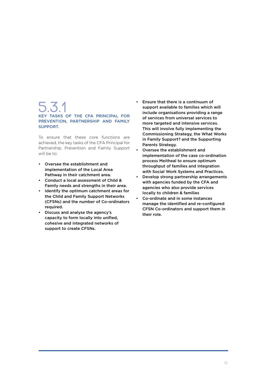### 5.3.1 Key Tasks of the CFA Principal for PREVENTION, PARTNERSHIP AND FAMILY Support.

To ensure that these core functions are achieved, the key tasks of the CFA Principal for Partnership, Prevention and Family Support will be to:

- Oversee the establishment and implementation of the Local Area Pathway in their catchment area.
- Conduct a local assessment of Child & Family needs and strengths in their area.
- Identify the optimum catchment areas for the Child and Family Support Networks (CFSNs) and the number of Co-ordinators required.
- Discuss and analyse the agency's capacity to form locally into unified, cohesive and integrated networks of support to create CFSNs.
- Ensure that there is a continuum of support available to families which will include organisations providing a range of services from universal services to more targeted and intensive services. This will involve fully implementing the Commissioning Strategy, the What Works in Family Support? and the Supporting Parents Strategy.
- Oversee the establishment and implementation of the case co-ordination process Meitheal to ensure optimum throughput of families and integration with Social Work Systems and Practices.
- Develop strong partnership arrangements with agencies funded by the CFA and agencies who also provide services locally to children & families
- Co-ordinate and in some instances manage the identified and re-configured CFSN Co-ordinators and support them in their role.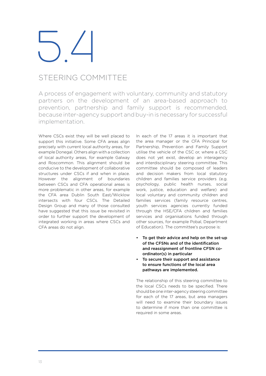### Steering Committee

A process of engagement with voluntary, community and statutory partners on the development of an area-based approach to prevention, partnership and family support is recommended, because inter-agency support and buy-in is necessary for successful implementation.

Where CSCs exist they will be well placed to support this initiative. Some CFA areas align precisely with current local authority areas, for example Donegal. Others align with a collection of local authority areas, for example Galway and Roscommon. This alignment should be conducive to the development of collaborative structures under CSCs if and when in place. However the alignment of boundaries between CSCs and CFA operational areas is more problematic in other areas, for example the CFA area Dublin South East/Wicklow intersects with four CSCs. The Detailed Design Group and many of those consulted have suggested that this issue be revisited in order to further support the development of integrated working in areas where CSCs and CFA areas do not align.

In each of the 17 areas it is important that the area manager or the CFA Principal for Partnership, Prevention and Family Support utilise the vehicle of the CSC or, where a CSC does not yet exist, develop an interagency and interdisciplinary steering committee. This committee should be composed of leaders and decision makers from local statutory children and families service providers (e.g. psychology, public health nurses, social work, justice, education and welfare) and local voluntary and community children and families services (family resource centres, youth services agencies currently funded through the HSE/CFA children and families services and organisations funded through other sources, for example Pobal, Department of Education). The committee's purpose is:

- To get their advice and help on the set-up of the CFSNs and of the identification and reassignment of frontline CFSN coordinator(s) in particular
- To secure their support and assistance to ensure functions of the local area pathways are implemented.

The relationship of this steering committee to the local CSCs needs to be specified. There should be one inter-agency steering committee for each of the 17 areas, but area managers will need to examine their boundary issues to determine if more than one committee is required in some areas.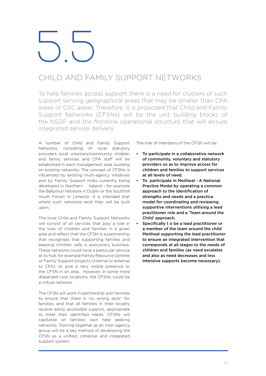### Child and Family Support Networks

To help families access support there is a need for clusters of such support serving geographical areas that may be smaller than CFA areas or CSC areas. Therefore, it is proposed that Child and Family Support Networks (CFSNs) will be the unit building blocks of the NSDF and the frontline operational structure that will ensure integrated service delivery.

A number of Child and Family Support Networks, consisting of local statutory providers local voluntary/community children and family services and CFA staff will be established in each management area, building on existing networks. The concept of CFSNs is influenced by existing multi-agency initiatives and by Family Support Hubs currently being developed in Northern Ireland - for example the Ballymun Network in Dublin or the Southhill Youth Forum in Limerick. It is intended that where such networks exist they will be built upon.

The local Child and Family Support Networks will consist of all services that play a role in the lives of children and families in a given area and reflect that the CFSN is a partnership that recognises that supporting families and keeping children safe is everyone's business. These networks could have a particular service at its hub, for example Family Resource Centres or Family Support projects (internal or external to CFA), to give a very visible presence to the CFSN in an area. However, in some more dispersed rural locations, the CFSNs could be a virtual network.

The CFSN will work in partnership with families to ensure that there is 'no wrong door' for families, and that all families in their locality receive easily accessible support, appropriate to meet their identified needs. CFSNs will capitalise on families' own help seeking networks. Training together as an inter-agency group will be a key method of developing the CFSN as a unified, cohesive and integrated support system.

The role of members of the CFSN will be:

- To participate in a collaborative network of community, voluntary and statutory providers so as to improve access for children and families to support services at all levels of need.
- To participate in Meitheal A National Practice Model by operating a common approach to the identification of strengths and needs and a practice model for coordinating and reviewing supportive interventions utilising a lead practitioner role and a 'Team around the Child' approach.
- Specifically t o be a lead practitioner or a member of the team around the child Meitheal supporting the lead practitioner to ensure an integrated intervention that corresponds at all stages to the needs of children and families (as need escalates and also as need decreases and less intensive supports become necessary).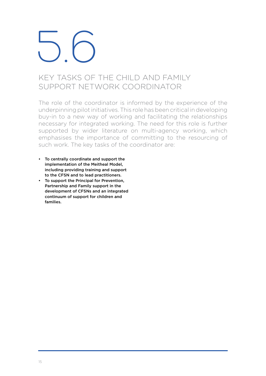### $\bigcup$

### KEY TASKS OF THE CHILD AND FAMILY Support Network Coordinator

The role of the coordinator is informed by the experience of the underpinning pilot initiatives. This role has been critical in developing buy-in to a new way of working and facilitating the relationships necessary for integrated working. The need for this role is further supported by wider literature on multi-agency working, which emphasises the importance of committing to the resourcing of such work. The key tasks of the coordinator are:

- To centrally coordinate and support the implementation of the Meitheal Model, including providing training and support to the CFSN and to lead practitioners.
- To support the Principal for Prevention, Partnership and Family support in the development of CFSNs and an integrated continuum of support for children and families.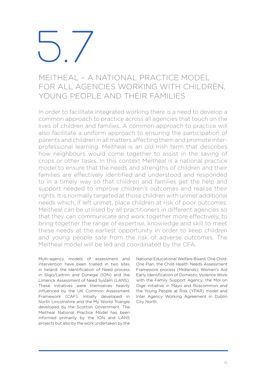### Meitheal – A National Practice Model for all Agencies working with Children, YOUNG PEOPLE AND THEIR FAMILIES

In order to facilitate integrated working there is a need to develop a common approach to practice across all agencies that touch on the lives of children and families. A common approach to practice will also facilitate a uniform approach to ensuring the participation of parents and children in all matters affecting them and promote interprofessional learning. Meitheal is an old Irish term that describes how neighbours would come together to assist in the saving of crops or other tasks. In this context Meitheal is a national practice model to ensure that the needs and strengths of children and their families are effectively identified and understood and responded to in a timely way so that children and families get the help and support needed to improve children's outcomes and realise their rights. It is normally targeted at those children with unmet additional needs which, if left unmet, place children at risk of poor outcomes. Meitheal can be utilised by all practitioners in different agencies so that they can communicate and work together more effectively, to bring together the range of expertise, knowledge and skill to meet these needs at the earliest opportunity in order to keep children and young people safe from the risk of adverse outcomes. The Meitheal model will be led and coordinated by the CFA.

Multi-agency models of assessment and intervention have been trialled in two sites in Ireland: the Identification of Need process in Sligo/Leitrim and Donegal (ION) and the Limerick Assessment of Need System (LANS). These initiatives were themselves heavily influenced by the UK Common Assessment Framework (CAF), initially developed in North Lincolnshire and the My World Triangle developed by the Scottish Government. The Meitheal National Practice Model has been informed primarily by the ION and LANS projects but also by the work undertaken by the

National Educational Welfare Board, One Child, One Plan, the Child Health Needs Assessment Framework process (Midlands); Women's Aid Early Identification of Domestic Violence Work with the Family Support Agency; the Mol on Oige initiative in Mayo and Roscommon and the Young People at Risk (YPAR) model and Inter Agency Working Agreement in Dublin City North.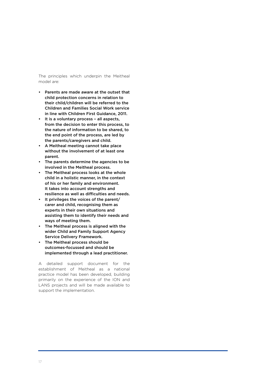The principles which underpin the Meitheal model are:

- Parents are made aware at the outset that child protection concerns in relation to their child/children will be referred to the Children and Families Social Work service in line with Children First Guidance, 2011.
- It is a voluntary process all aspects, from the decision to enter this process, to the nature of information to be shared, to the end point of the process, are led by the parents/caregivers and child.
- A Meitheal meeting cannot take place without the involvement of at least one parent.
- The parents determine the agencies to be involved in the Meitheal process.
- The Meitheal process looks at the whole child in a holistic manner, in the context of his or her family and environment. It takes into account strengths and resilience as well as difficulties and needs.
- It privileges the voices of the parent/ carer and child, recognising them as experts in their own situations and assisting them to identify their needs and ways of meeting them.
- The Meitheal process is aligned with the wider Child and Family Support Agency Service Delivery Framework.
- The Meitheal process should be outcomes-focussed and should be implemented through a lead practitioner.

A detailed support document for the establishment of Meitheal as a national practice model has been developed, building primarily on the experience of the ION and LANS projects and will be made available to support the implementation.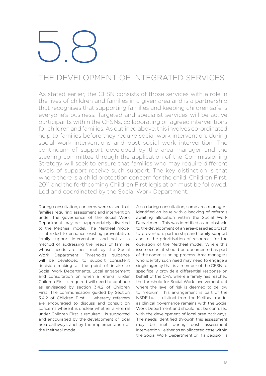### The Development of Integrated Services

As stated earlier, the CFSN consists of those services with a role in the lives of children and families in a given area and is a partnership that recognises that supporting families and keeping children safe is everyone's business. Targeted and specialist services will be active participants within the CFSNs, collaborating on agreed interventions for children and families. As outlined above, this involves co-ordinated help to families before they require social work intervention, during social work interventions and post social work intervention. The continuum of support developed by the area manager and the steering committee through the application of the Commissioning Strategy will seek to ensure that families who may require different levels of support receive such support. The key distinction is that where there is a child protection concern for the child, Children First, 2011 and the forthcoming Children First legislation must be followed. Led and coordinated by the Social Work Department.

During consultation, concerns were raised that families requiring assessment and intervention under the governance of the Social Work Department may be inappropriately diverted to the Meitheal model. The Meitheal model is intended to enhance existing preventative, family support interventions and not as a method of addressing the needs of families whose needs are best met by the Social Work Department. Thresholds guidance will be developed to support consistent decision making at the point of intake to Social Work Departments. Local engagement and consultation on when a referral under Children First is required will need to continue as envisaged by section 3.4.2 of Children First. The communication guided by Section 3.4.2 of Children First - whereby referrers are encouraged to discuss and consult on concerns where it is unclear whether a referral under Children First is required - is supported and encouraged by the development of local area pathways and by the implementation of the Meitheal model.

Also during consultation, some area managers identified an issue with a backlog of referrals awaiting allocation within the Social Work Department. This was identified as an obstacle to the development of an area-based approach to prevention, partnership and family support and to the prioritisation of resources for the operation of the Meitheal model. Where this issue occurs it should be documented as part of the commissioning process. Area managers who identify such need may need to engage a single agency that is a member of the CFSN to specifically provide a differential response on behalf of the CFA, where a family has reached the threshold for Social Work involvement but where the level of risk is deemed to be low to medium. This arrangement is part of the NSDF but is distinct from the Meitheal model as clinical governance remains with the Social Work Department and should not be confused with the development of local area pathways. The needs identified through this assessment may be met during post assessment intervention - either as an allocated case within the Social Work Department or, if a decision is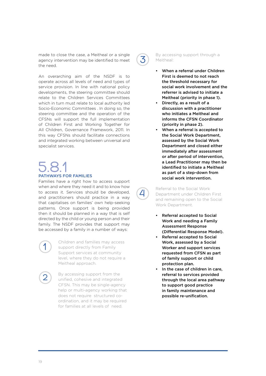made to close the case, a Meitheal or a single agency intervention may be identified to meet the need.

An overarching aim of the NSDF is to operate across all levels of need and types of service provision. In line with national policy developments, the steering committee should relate to the Children Services Committees which in turn must relate to local authority led Socio-Economic Committees . In doing so, the steering committee and the operation of the CFSNs will support the full implementation of Children First and Working Together for All Children, Governance Framework, 2011. In this way CFSNs should facilitate connections and integrated working between universal and specialist services.

### 5.8.1<br>PATHWAYS FOR FAI

Families have a right how to access support when and where they need it and to know how to access it. Services should be developed, and practitioners should practice in a way that capitalises on families' own help-seeking patterns. Once support is being provided then it should be planned in a way that is self directed by the child or young person and their family. The NSDF provides that support may be accessed by a family in a number of ways:

### 1

2

Children and families may access support directly from Family Support services at community level, where they do not require a Meitheal approach.

By accessing support from the unified, cohesive and integrated CFSN. This may be single-agency help or multi-agency working that does not require structured coordination, and it may be required for families at all levels of need.



4

By accessing support through a Meitheal:

- When a referral under Children First is deemed to not reach the threshold necessary for social work involvement and the referrer is advised to initiate a Meitheal (priority in phase 1).
- Directly, as a result of a discussion with a practitioner who initiates a Meitheal and informs the CFSN Coordinator (priority in phase 2).
- When a referral is accepted to the Social Work Department, assessed by the Social Work Department and closed either immediately after assessment or after period of intervention, a Lead Practitioner may then be identified to initiate a Meitheal as part of a step-down from social work intervention.

Referral to the Social Work Department under Children First and remaining open to the Social Work Department.

- Referral accepted to Social Work and needing a Family Assessment Response (Differential Response Model).
- Referral accepted to Social Work, assessed by a Social Worker and support services requested from CFSN as part of family support or child protection plan.
- In the case of children in care, referral to services provided through the local area pathway to support good practice in family maintenance and possible re-unification.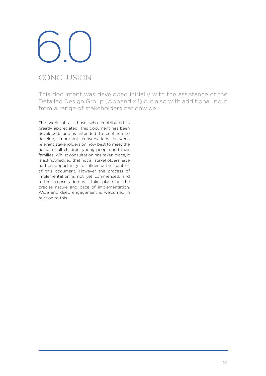### Conclusion

This document was developed initially with the assistance of the Detailed Design Group (Appendix 1) but also with additional input from a range of stakeholders nationwide.

The work of all those who contributed is greatly appreciated. This document has been developed, and is intended to continue to develop, important conversations between relevant stakeholders on how best to meet the needs of all children, young people and their families. Whilst consultation has taken place, it is acknowledged that not all stakeholders have had an opportunity to influence the content of this document. However the process of implementation is not yet commenced, and further consultation will take place on the precise nature and pace of implementation. Wide and deep engagement is welcomed in relation to this.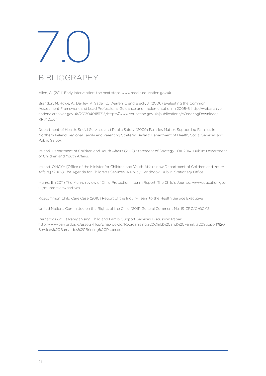

### Bibliography

Allen, G. (2011) Early Intervention: the next steps www.media.education.gov.uk

Brandon, M.,Howe, A., Dagley, V., Satler, C., Warren, C and Black, J. (2006) Evaluating the Common Assessment Framework and Lead Professional Guidance and Implementation in 2005-6: http://webarchive. nationalarchives.gov.uk/20130401151715/https://www.education.gov.uk/publications/eOrderingDownload/ RR740.pdf

Department of Health, Social Services and Public Safety (2009) Families Matter: Supporting Families in Northern Ireland Regional Family and Parenting Strategy. Belfast: Department of Health, Social Services and Public Safety.

Ireland. Department of Children and Youth Affairs (2012) Statement of Strategy 2011-2014. Dublin: Department of Children and Youth Affairs.

Ireland. OMCYA [Office of the Minister for Children and Youth Affairs now Department of Children and Youth Affairs] (2007) The Agenda for Children's Services: A Policy Handbook. Dublin: Stationery Office.

Munro, E. (2011) The Munro review of Child Protection Interim Report: The Child's Journey. www.education.gov. uk/munroreviewparttwo

Roscommon Child Care Case (2010) Report of the Inquiry Team to the Health Service Executive.

United Nations Committee on the Rights of the Child (2011) General Comment No. 13. CRC/C/GC/13.

Barnardos (2011) Reorganising Child and Family Support Services Discussion Paper: http://www.barnardos.ie/assets/files/what-we-do/Reorganising%20Child%20and%20Family%20Support%20 Services%20Barnardos%20Briefing%20Paper.pdf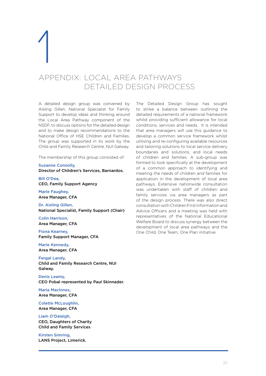### 1 Appendix: Local Area Pathways

Detailed Design Process

A detailed design group was convened by Aisling Gillen, National Specialist for Family Support to develop ideas and thinking around the Local Area Pathway component of the NSDF, to discuss options for the detailed design and to make design recommendations to the National Office of HSE Children and Families. The group was supported in its work by the Child and Family Research Centre, NUI Galway.

The membership of this group consisted of:

Suzanne Connolly, Director of Children's Services, Barnardos.

Bill O'Dea, CEO, Family Support Agency

Marie Faughey, Area Manager, CFA

Dr. Aisling Gillen, National Specialist, Family Support (Chair)

Colin Harrison, Area Manager, CFA

Fiona Kearney, Family Support Manager, CFA

Marie Kennedy, Area Manager, CFA

Fergal Landy, Child and Family Research Centre, NUI Galway.

Denis Leamy, CEO Pobal represented by Paul Skinnader.

Maria MacInnes, Area Manager, CFA

Colette McLoughlin, Area Manager, CFA

Liam O'Dalaigh, CEO, Daughters of Charity Child and Family Services

Kirsten Simring, LANS Project, Limerick. The Detailed Design Group has sought to strike a balance between outlining the detailed requirements of a national framework whilst providing sufficient allowance for local conditions, services and needs. It is intended that area managers will use this guidance to develop a common service framework whilst utilising and re-configuring available resources and tailoring solutions to local service delivery boundaries and solutions, and local needs of children and families. A sub-group was formed to look specifically at the development of a common approach to identifying and meeting the needs of children and families for application in the development of local area pathways. Extensive nationwide consultation was undertaken with staff of children and family services via area managers as part of the design process. There was also direct consultation withChildrenFirst Informationand Advice Officers and a meeting was held with representatives of the National Educational Welfare Board to discuss synergy between the development of local area pathways and the One Child, One Team, One Plan initiative.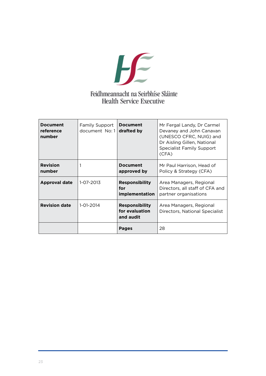

| <b>Document</b><br>reference<br>number | Family Support<br>document No: 1 | <b>Document</b><br>drafted by                        | Mr Fergal Landy, Dr Carmel<br>Devaney and John Canavan<br>(UNESCO CFRC, NUIG) and<br>Dr Aisling Gillen, National<br><b>Specialist Family Support</b><br>(CFA) |
|----------------------------------------|----------------------------------|------------------------------------------------------|---------------------------------------------------------------------------------------------------------------------------------------------------------------|
| <b>Revision</b><br>number              |                                  | <b>Document</b><br>approved by                       | Mr Paul Harrison, Head of<br>Policy & Strategy (CFA)                                                                                                          |
| <b>Approval date</b>                   | 1-07-2013                        | <b>Responsibility</b><br>for<br>implementation       | Area Managers, Regional<br>Directors, all staff of CFA and<br>partner organisations                                                                           |
| <b>Revision date</b>                   | 1-01-2014                        | <b>Responsibility</b><br>for evaluation<br>and audit | Area Managers, Regional<br>Directors, National Specialist                                                                                                     |
|                                        |                                  | <b>Pages</b>                                         | 28                                                                                                                                                            |